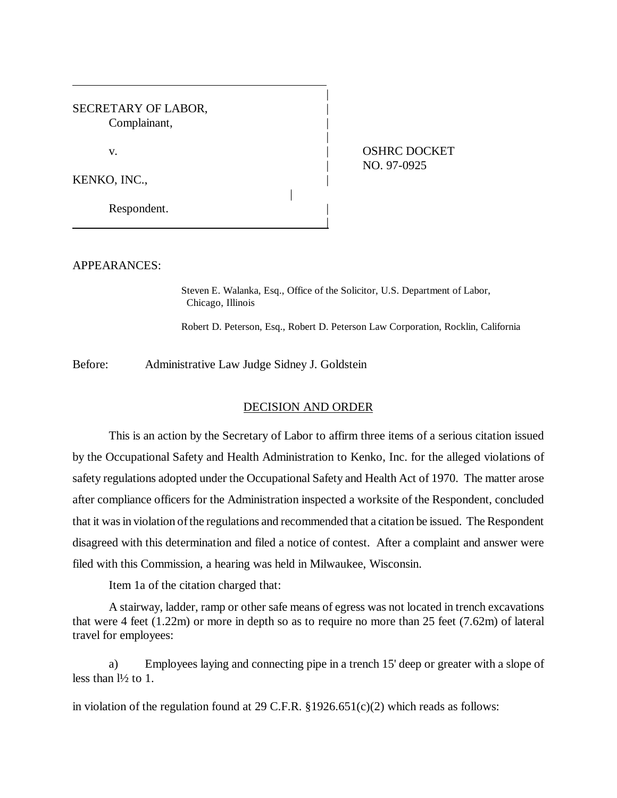| SECRETARY OF LABOR,<br>Complainant, |                                    |
|-------------------------------------|------------------------------------|
| v.                                  | <b>OSHRC DOCKET</b><br>NO. 97-0925 |
| KENKO, INC.,                        |                                    |
| Respondent.                         |                                    |

APPEARANCES:

Steven E. Walanka, Esq., Office of the Solicitor, U.S. Department of Labor, Chicago, Illinois

Robert D. Peterson, Esq., Robert D. Peterson Law Corporation, Rocklin, California

Before: Administrative Law Judge Sidney J. Goldstein

## DECISION AND ORDER

This is an action by the Secretary of Labor to affirm three items of a serious citation issued by the Occupational Safety and Health Administration to Kenko, Inc. for the alleged violations of safety regulations adopted under the Occupational Safety and Health Act of 1970. The matter arose after compliance officers for the Administration inspected a worksite of the Respondent, concluded that it was in violation of the regulations and recommended that a citation be issued. The Respondent disagreed with this determination and filed a notice of contest. After a complaint and answer were filed with this Commission, a hearing was held in Milwaukee, Wisconsin.

Item 1a of the citation charged that:

A stairway, ladder, ramp or other safe means of egress was not located in trench excavations that were 4 feet (1.22m) or more in depth so as to require no more than 25 feet (7.62m) of lateral travel for employees:

a) Employees laying and connecting pipe in a trench 15' deep or greater with a slope of less than  $\frac{1}{2}$  to 1.

in violation of the regulation found at 29 C.F.R.  $\S 1926.651(c)(2)$  which reads as follows: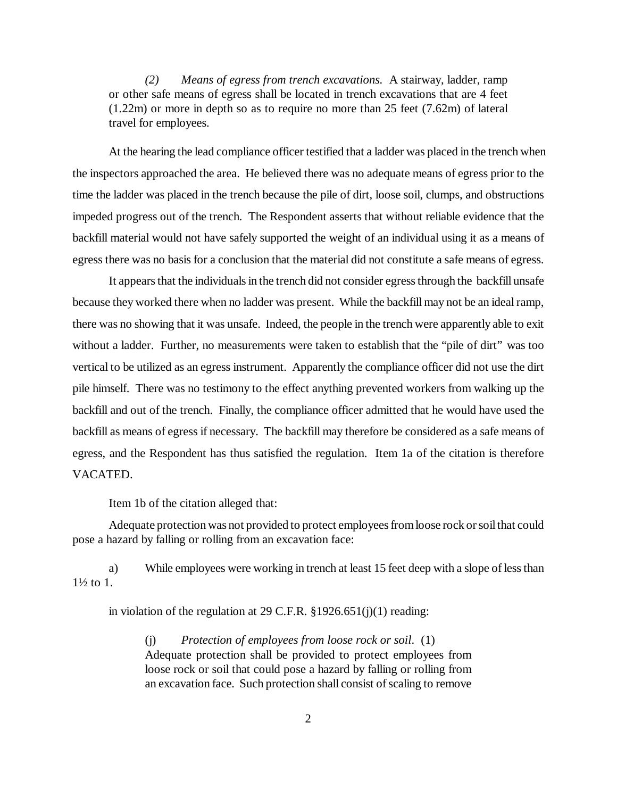*(2) Means of egress from trench excavations.* A stairway, ladder, ramp or other safe means of egress shall be located in trench excavations that are 4 feet (1.22m) or more in depth so as to require no more than 25 feet (7.62m) of lateral travel for employees.

 At the hearing the lead compliance officer testified that a ladder was placed in the trench when the inspectors approached the area. He believed there was no adequate means of egress prior to the time the ladder was placed in the trench because the pile of dirt, loose soil, clumps, and obstructions impeded progress out of the trench. The Respondent asserts that without reliable evidence that the backfill material would not have safely supported the weight of an individual using it as a means of egress there was no basis for a conclusion that the material did not constitute a safe means of egress.

It appears that the individuals in the trench did not consider egress through the backfill unsafe because they worked there when no ladder was present. While the backfill may not be an ideal ramp, there was no showing that it was unsafe. Indeed, the people in the trench were apparently able to exit without a ladder. Further, no measurements were taken to establish that the "pile of dirt" was too vertical to be utilized as an egress instrument. Apparently the compliance officer did not use the dirt pile himself. There was no testimony to the effect anything prevented workers from walking up the backfill and out of the trench. Finally, the compliance officer admitted that he would have used the backfill as means of egress if necessary. The backfill may therefore be considered as a safe means of egress, and the Respondent has thus satisfied the regulation. Item 1a of the citation is therefore VACATED.

Item 1b of the citation alleged that:

Adequate protection was not provided to protect employees from loose rock or soil that could pose a hazard by falling or rolling from an excavation face:

a) While employees were working in trench at least 15 feet deep with a slope of less than 1½ to 1.

in violation of the regulation at 29 C.F.R.  $\S 1926.651(j)(1)$  reading:

(j) *Protection of employees from loose rock or soil*. (1) Adequate protection shall be provided to protect employees from loose rock or soil that could pose a hazard by falling or rolling from an excavation face. Such protection shall consist of scaling to remove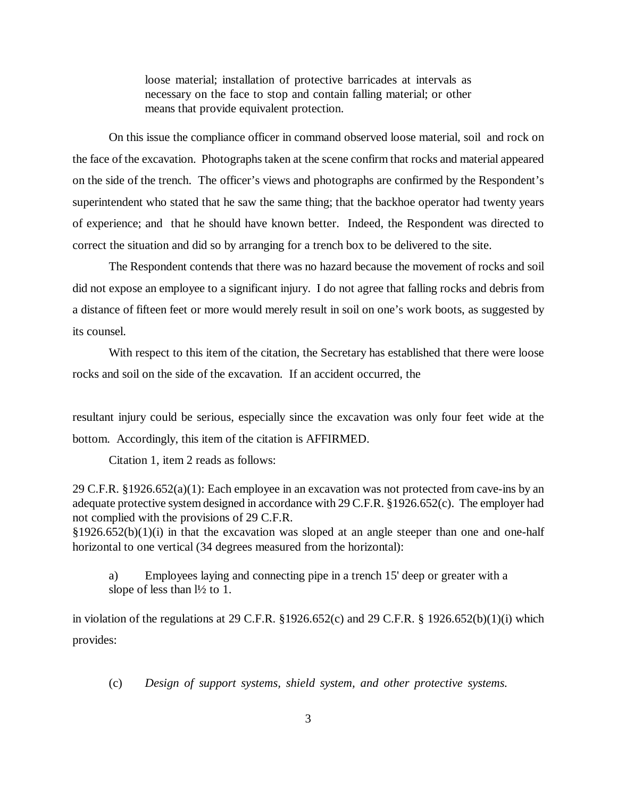loose material; installation of protective barricades at intervals as necessary on the face to stop and contain falling material; or other means that provide equivalent protection.

On this issue the compliance officer in command observed loose material, soil and rock on the face of the excavation. Photographs taken at the scene confirm that rocks and material appeared on the side of the trench. The officer's views and photographs are confirmed by the Respondent's superintendent who stated that he saw the same thing; that the backhoe operator had twenty years of experience; and that he should have known better. Indeed, the Respondent was directed to correct the situation and did so by arranging for a trench box to be delivered to the site.

The Respondent contends that there was no hazard because the movement of rocks and soil did not expose an employee to a significant injury. I do not agree that falling rocks and debris from a distance of fifteen feet or more would merely result in soil on one's work boots, as suggested by its counsel.

With respect to this item of the citation, the Secretary has established that there were loose rocks and soil on the side of the excavation. If an accident occurred, the

resultant injury could be serious, especially since the excavation was only four feet wide at the bottom. Accordingly, this item of the citation is AFFIRMED.

Citation 1, item 2 reads as follows:

29 C.F.R. §1926.652(a)(1): Each employee in an excavation was not protected from cave-ins by an adequate protective system designed in accordance with 29 C.F.R. §1926.652(c). The employer had not complied with the provisions of 29 C.F.R.

 $§1926.652(b)(1)(i)$  in that the excavation was sloped at an angle steeper than one and one-half horizontal to one vertical (34 degrees measured from the horizontal):

a) Employees laying and connecting pipe in a trench 15' deep or greater with a slope of less than  $\frac{1}{2}$  to 1.

in violation of the regulations at 29 C.F.R. §1926.652(c) and 29 C.F.R. § 1926.652(b)(1)(i) which provides:

(c) *Design of support systems, shield system, and other protective systems.*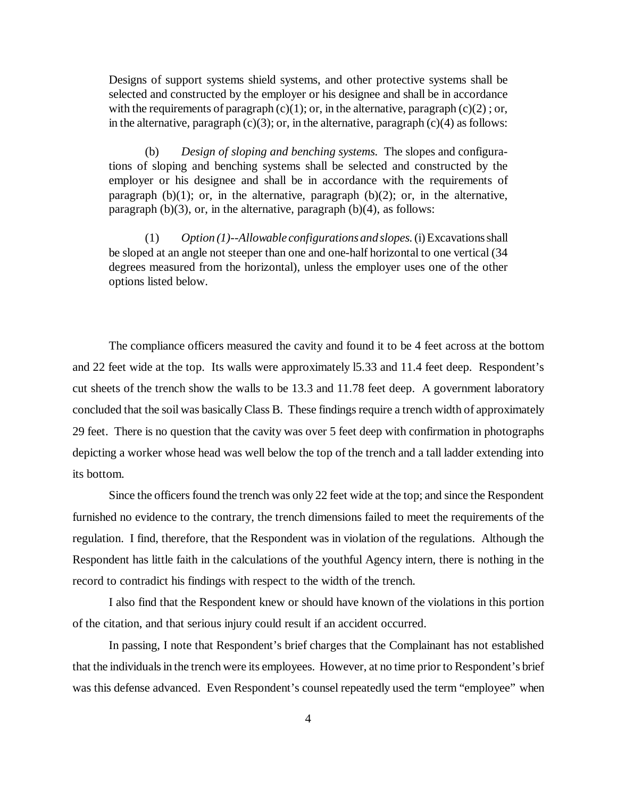Designs of support systems shield systems, and other protective systems shall be selected and constructed by the employer or his designee and shall be in accordance with the requirements of paragraph  $(c)(1)$ ; or, in the alternative, paragraph  $(c)(2)$ ; or, in the alternative, paragraph  $(c)(3)$ ; or, in the alternative, paragraph  $(c)(4)$  as follows:

(b) *Design of sloping and benching systems.* The slopes and configurations of sloping and benching systems shall be selected and constructed by the employer or his designee and shall be in accordance with the requirements of paragraph  $(b)(1)$ ; or, in the alternative, paragraph  $(b)(2)$ ; or, in the alternative, paragraph  $(b)(3)$ , or, in the alternative, paragraph  $(b)(4)$ , as follows:

(1) *Option (1)--Allowable configurations and slopes.*(i) Excavations shall be sloped at an angle not steeper than one and one-half horizontal to one vertical (34 degrees measured from the horizontal), unless the employer uses one of the other options listed below.

The compliance officers measured the cavity and found it to be 4 feet across at the bottom and 22 feet wide at the top. Its walls were approximately l5.33 and 11.4 feet deep. Respondent's cut sheets of the trench show the walls to be 13.3 and 11.78 feet deep. A government laboratory concluded that the soil was basically Class B. These findings require a trench width of approximately 29 feet. There is no question that the cavity was over 5 feet deep with confirmation in photographs depicting a worker whose head was well below the top of the trench and a tall ladder extending into its bottom.

Since the officers found the trench was only 22 feet wide at the top; and since the Respondent furnished no evidence to the contrary, the trench dimensions failed to meet the requirements of the regulation. I find, therefore, that the Respondent was in violation of the regulations. Although the Respondent has little faith in the calculations of the youthful Agency intern, there is nothing in the record to contradict his findings with respect to the width of the trench.

I also find that the Respondent knew or should have known of the violations in this portion of the citation, and that serious injury could result if an accident occurred.

In passing, I note that Respondent's brief charges that the Complainant has not established that the individuals in the trench were its employees. However, at no time prior to Respondent's brief was this defense advanced. Even Respondent's counsel repeatedly used the term "employee" when